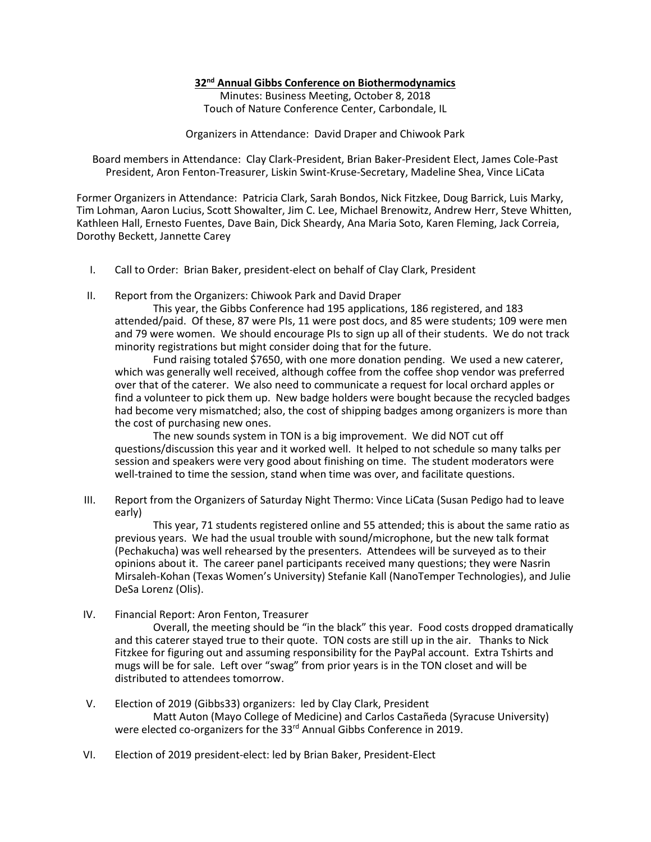#### **32nd Annual Gibbs Conference on Biothermodynamics**

Minutes: Business Meeting, October 8, 2018 Touch of Nature Conference Center, Carbondale, IL

Organizers in Attendance: David Draper and Chiwook Park

Board members in Attendance: Clay Clark-President, Brian Baker-President Elect, James Cole-Past President, Aron Fenton-Treasurer, Liskin Swint-Kruse-Secretary, Madeline Shea, Vince LiCata

Former Organizers in Attendance: Patricia Clark, Sarah Bondos, Nick Fitzkee, Doug Barrick, Luis Marky, Tim Lohman, Aaron Lucius, Scott Showalter, Jim C. Lee, Michael Brenowitz, Andrew Herr, Steve Whitten, Kathleen Hall, Ernesto Fuentes, Dave Bain, Dick Sheardy, Ana Maria Soto, Karen Fleming, Jack Correia, Dorothy Beckett, Jannette Carey

- I. Call to Order: Brian Baker, president-elect on behalf of Clay Clark, President
- II. Report from the Organizers: Chiwook Park and David Draper

This year, the Gibbs Conference had 195 applications, 186 registered, and 183 attended/paid. Of these, 87 were PIs, 11 were post docs, and 85 were students; 109 were men and 79 were women. We should encourage PIs to sign up all of their students. We do not track minority registrations but might consider doing that for the future.

Fund raising totaled \$7650, with one more donation pending. We used a new caterer, which was generally well received, although coffee from the coffee shop vendor was preferred over that of the caterer. We also need to communicate a request for local orchard apples or find a volunteer to pick them up. New badge holders were bought because the recycled badges had become very mismatched; also, the cost of shipping badges among organizers is more than the cost of purchasing new ones.

The new sounds system in TON is a big improvement. We did NOT cut off questions/discussion this year and it worked well. It helped to not schedule so many talks per session and speakers were very good about finishing on time. The student moderators were well-trained to time the session, stand when time was over, and facilitate questions.

III. Report from the Organizers of Saturday Night Thermo: Vince LiCata (Susan Pedigo had to leave early)

This year, 71 students registered online and 55 attended; this is about the same ratio as previous years. We had the usual trouble with sound/microphone, but the new talk format (Pechakucha) was well rehearsed by the presenters. Attendees will be surveyed as to their opinions about it. The career panel participants received many questions; they were Nasrin Mirsaleh-Kohan (Texas Women's University) Stefanie Kall (NanoTemper Technologies), and Julie DeSa Lorenz (Olis).

IV. Financial Report: Aron Fenton, Treasurer

Overall, the meeting should be "in the black" this year. Food costs dropped dramatically and this caterer stayed true to their quote. TON costs are still up in the air. Thanks to Nick Fitzkee for figuring out and assuming responsibility for the PayPal account. Extra Tshirts and mugs will be for sale. Left over "swag" from prior years is in the TON closet and will be distributed to attendees tomorrow.

- V. Election of 2019 (Gibbs33) organizers: led by Clay Clark, President Matt Auton (Mayo College of Medicine) and Carlos Castañeda (Syracuse University) were elected co-organizers for the 33rd Annual Gibbs Conference in 2019.
- VI. Election of 2019 president-elect: led by Brian Baker, President-Elect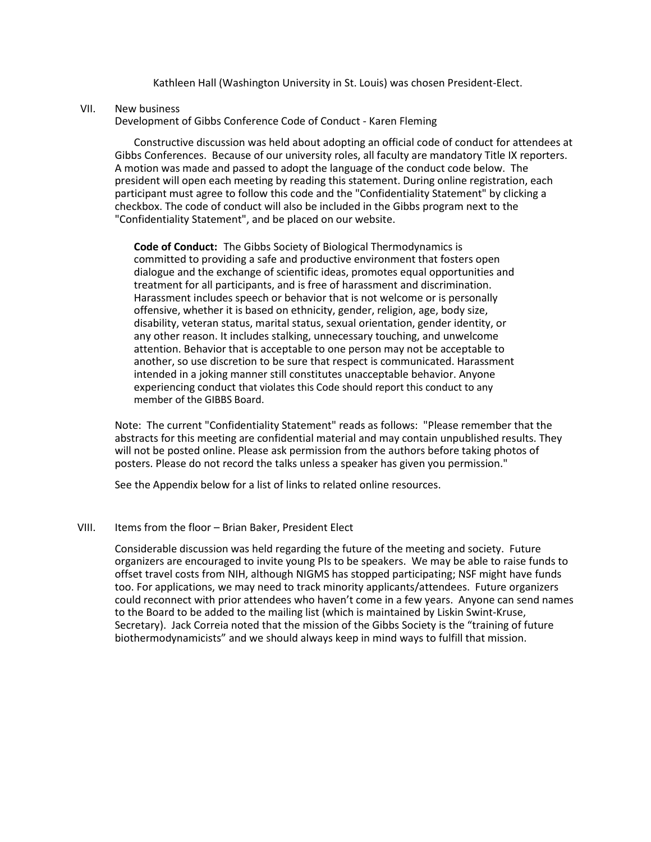Kathleen Hall (Washington University in St. Louis) was chosen President-Elect.

#### VII. New business

Development of Gibbs Conference Code of Conduct - Karen Fleming

Constructive discussion was held about adopting an official code of conduct for attendees at Gibbs Conferences. Because of our university roles, all faculty are mandatory Title IX reporters. A motion was made and passed to adopt the language of the conduct code below. The president will open each meeting by reading this statement. During online registration, each participant must agree to follow this code and the "Confidentiality Statement" by clicking a checkbox. The code of conduct will also be included in the Gibbs program next to the "Confidentiality Statement", and be placed on our website.

**Code of Conduct:** The Gibbs Society of Biological Thermodynamics is committed to providing a safe and productive environment that fosters open dialogue and the exchange of scientific ideas, promotes equal opportunities and treatment for all participants, and is free of harassment and discrimination. Harassment includes speech or behavior that is not welcome or is personally offensive, whether it is based on ethnicity, gender, religion, age, body size, disability, veteran status, marital status, sexual orientation, gender identity, or any other reason. It includes stalking, unnecessary touching, and unwelcome attention. Behavior that is acceptable to one person may not be acceptable to another, so use discretion to be sure that respect is communicated. Harassment intended in a joking manner still constitutes unacceptable behavior. Anyone experiencing conduct that violates this Code should report this conduct to any member of the GIBBS Board.

Note: The current "Confidentiality Statement" reads as follows: "Please remember that the abstracts for this meeting are confidential material and may contain unpublished results. They will not be posted online. Please ask permission from the authors before taking photos of posters. Please do not record the talks unless a speaker has given you permission."

See the Appendix below for a list of links to related online resources.

#### VIII. Items from the floor – Brian Baker, President Elect

Considerable discussion was held regarding the future of the meeting and society. Future organizers are encouraged to invite young PIs to be speakers. We may be able to raise funds to offset travel costs from NIH, although NIGMS has stopped participating; NSF might have funds too. For applications, we may need to track minority applicants/attendees. Future organizers could reconnect with prior attendees who haven't come in a few years. Anyone can send names to the Board to be added to the mailing list (which is maintained by Liskin Swint-Kruse, Secretary). Jack Correia noted that the mission of the Gibbs Society is the "training of future biothermodynamicists" and we should always keep in mind ways to fulfill that mission.